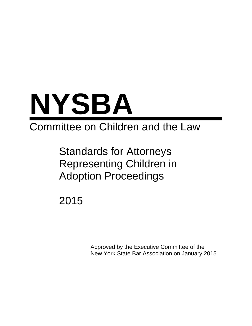

# Committee on Children and the Law

Standards for Attorneys Representing Children in Adoption Proceedings

2015

Approved by the Executive Committee of the New York State Bar Association on January 2015.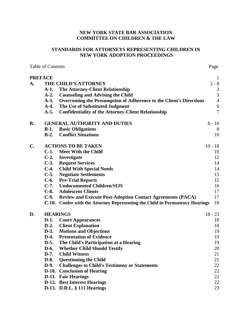## **NEW YORK STATE BAR ASSOCIATION COMMITTEE ON CHILDREN & THE LAW**

## STANDARDS FOR ATTORNEYS REPRESENTING CHILDREN IN **NEW YORK ADOPTION PROCEEDINGS**

Page

**Table of Contents** 

**PREFACE**  $\mathbf{1}$  $\mathbf{A}$ . THE CHILD'S ATTORNEY  $2 - 8$ **The Attorney-Client Relationship**  $\mathfrak{D}$  $A-1.$ **Counseling and Advising the Child**  $\overline{3}$  $A-2.$  $A-3$ . Overcoming the Presumption of Adherence to the Client's Directions  $\overline{4}$  $A-4.$ The Use of Substituted Judgment 6  $A-5.$ **Confidentiality of the Attorney-Client Relationship**  $\overline{7}$ **GENERAL AUTHORITY AND DUTIES**  $8 - 10$  $\mathbf{B}$ .  $B-1.$ **Basic Obligations** 8  $B-2$ . **Conflict Situations** 10  $C_{\bullet}$ **ACTIONS TO BE TAKEN**  $10 - 18$ C-1. Meet With the Child 10 C-2. Investigate 12 **C-3.** Request Services 14 C-4. Child With Special Needs  $14$ **C-5.** Negotiate Settlements 15 C-6. Pre-Trial Reports 15 C-7. Undocumented Children/SIJS 16 **C-8.** Adolescent Clients 17  $C-9.$ **Review and Execute Post-Adoption Contact Agreements (PACA)** 17 C-10. Confer with the Attorney Representing the Child in Permanency Hearings 18 D. **HEARINGS**  $18 - 23$ **D-1.** Court Appearances 18  $D-2.$ **Client Explanation** 18  $D-3$ . **Motions and Objections** 19  $D-4.$ **Presentation of Evidence** 19  $D-5.$ The Child's Participation at a Hearing 19 **D-6. Whether Child Should Testify** 20  $D-7.$ **Child Witness** 21 **D-8. Ouestioning the Child**  $21$ **Challenges to Child's Testimony or Statements**  $D-9.$ 22 D-10. Conclusion of Hearing 22 **D-11.** Fair Hearings 22 **D-12.** Best Interest Hearings 22 D-13. D.R.L. § 111 Hearings 23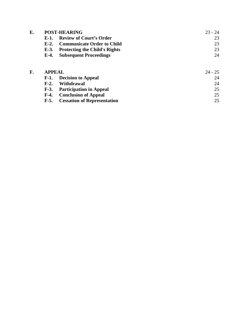| E. | <b>POST-HEARING</b> |                                      | $23 - 24$ |
|----|---------------------|--------------------------------------|-----------|
|    | E-1.                | <b>Review of Court's Order</b>       | 23        |
|    | $E-2.$              | <b>Communicate Order to Child</b>    | 23        |
|    | $E-3$ .             | <b>Protecting the Child's Rights</b> | 23        |
|    | $E-4.$              | <b>Subsequent Proceedings</b>        | 24        |
| F. | <b>APPEAL</b>       |                                      | $24 - 25$ |
|    |                     |                                      |           |
|    | <b>F-1.</b>         | <b>Decision to Appeal</b>            | 24        |
|    | $F-2.$              | Withdrawal                           | 24        |
|    | $F-3.$              | <b>Participation in Appeal</b>       | 25        |
|    | $F-4.$              | <b>Conclusion of Appeal</b>          | 25        |
|    | $F-5.$              | <b>Cessation of Representation</b>   | 25        |

**Cessation of Representation**  $F-5.$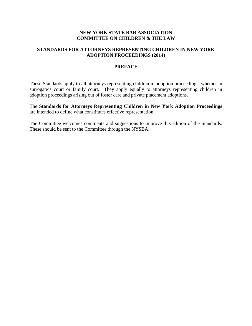## **NEW YORK STATE BAR ASSOCIATION COMMITTEE ON CHILDREN & THE LAW**

## **STANDARDS FOR ATTORNEYS REPRESENTING CHILDREN IN NEW YORK ADOPTION PROCEEDINGS (2014)**

## **PREFACE**

These Standards apply to all attorneys representing children in adoption proceedings, whether in surrogate's court or family court. They apply equally to attorneys representing children in adoption proceedings arising out of foster care and private placement adoptions.

The **Standards for Attorneys Representing Children in New York Adoption Proceedings** are intended to define what constitutes effective representation.

The Committee welcomes comments and suggestions to improve this edition of the Standards. These should be sent to the Committee through the NYSBA.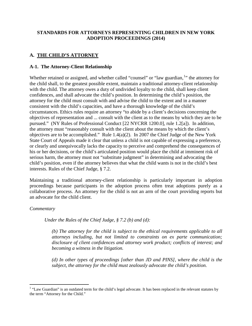# **STANDARDS FOR ATTORNEYS REPRESENTING CHILDREN IN NEW YORK ADOPTION PROCEEDINGS (2014)**

# **A. THE CHILD'S ATTORNEY**

## **A-1. The Attorney-Client Relationship**

Whether retained or assigned, and whether called "counsel" or "law guardian,<sup>[1](#page-5-0)</sup>" the attorney for the child shall, to the greatest possible extent, maintain a traditional attorney-client relationship with the child. The attorney owes a duty of undivided loyalty to the child, shall keep client confidences, and shall advocate the child's position. In determining the child's position, the attorney for the child must consult with and advise the child to the extent and in a manner consistent with the child's capacities, and have a thorough knowledge of the child's circumstances. Ethics rules require an attorney "to abide by a client's decisions concerning the objectives of representation and ... consult with the client as to the means by which they are to be pursued." (NY Rules of Professional Conduct [22 NYCRR 1200.0], rule 1.2[a]).In addition, the attorney must "reasonably consult with the client about the means by which the client's objectives are to be accomplished." Rule 1.4(a)(2). In 2007 the Chief Judge of the New York State Court of Appeals made it clear that unless a child is not capable of expressing a preference, or clearly and unequivocally lacks the capacity to perceive and comprehend the consequences of his or her decisions, or the child's articulated position would place the child at imminent risk of serious harm, the attorney must not "substitute judgment" in determining and advocating the child's position, even if the attorney believes that what the child wants is not in the child's best interests. Rules of the Chief Judge, § 7.2.

Maintaining a traditional attorney-client relationship is particularly important in adoption proceedings because participants in the adoption process often treat adoptions purely as a collaborative process. An attorney for the child is not an arm of the court providing reports but an advocate for the child client.

## *Commentary*

*Under the Rules of the Chief Judge, § 7.2 (b) and (d):* 

*(b) The attorney for the child is subject to the ethical requirements applicable to all attorneys including, but not limited to constraints on ex parte communication; disclosure of client confidences and attorney work product; conflicts of interest; and becoming a witness in the litigation.*

*(d) In other types of proceedings [other than JD and PINS], where the child is the subject, the attorney for the child must zealously advocate the child's position.* 

<span id="page-5-0"></span> $1$  "Law Guardian" is an outdated term for the child's legal advocate. It has been replaced in the relevant statutes by the term "Attorney for the Child."  $\overline{a}$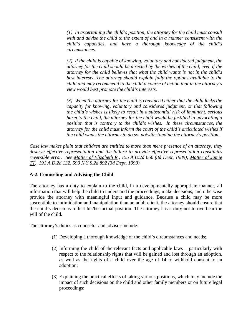*(1) In ascertaining the child's position, the attorney for the child must consult with and advise the child to the extent of and in a manner consistent with the child's capacities, and have a thorough knowledge of the child's circumstances.*

*(2) If the child is capable of knowing, voluntary and considered judgment, the attorney for the child should be directed by the wishes of the child, even if the attorney for the child believes that what the child wants is not in the child's best interests. The attorney should explain fully the options available to the child and may recommend to the child a course of action that in the attorney's view would best promote the child's interests.*

*(3) When the attorney for the child is convinced either that the child lacks the capacity for knowing, voluntary and considered judgment, or that following the child's wishes is likely to result in a substantial risk of imminent, serious harm to the child, the attorney for the child would be justified in advocating a position that is contrary to the child's wishes. In these circumstances, the attorney for the child must inform the court of the child's articulated wishes if the child wants the attorney to do so, notwithstanding the attorney's position.*

*Case law makes plain that children are entitled to more than mere presence of an attorney; they deserve effective representation and the failure to provide effective representation constitutes reversible error. See Matter of Elizabeth R., 155 A.D.2d 666 (3d Dept, 1989); Matter of Jamie TT., 191 A.D.2d 132, 599 N.Y.S.2d 892 (3d Dept, 1993).*

# **A-2. Counseling and Advising the Child**

The attorney has a duty to explain to the child, in a developmentally appropriate manner, all information that will help the child to understand the proceedings, make decisions, and otherwise provide the attorney with meaningful input and guidance. Because a child may be more susceptible to intimidation and manipulation than an adult client, the attorney should ensure that the child's decisions reflect his/her actual position. The attorney has a duty not to overbear the will of the child.

The attorney's duties as counselor and advisor include:

- (1) Developing a thorough knowledge of the child's circumstances and needs;
- (2) Informing the child of the relevant facts and applicable laws particularly with respect to the relationship rights that will be gained and lost through an adoption, as well as the rights of a child over the age of 14 to withhold consent to an adoption;
- (3) Explaining the practical effects of taking various positions, which may include the impact of such decisions on the child and other family members or on future legal proceedings;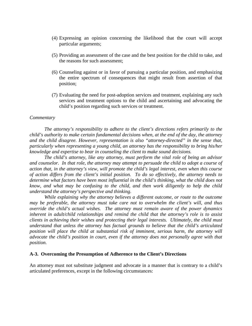- (4) Expressing an opinion concerning the likelihood that the court will accept particular arguments;
- (5) Providing an assessment of the case and the best position for the child to take, and the reasons for such assessment;
- (6) Counseling against or in favor of pursuing a particular position, and emphasizing the entire spectrum of consequences that might result from assertion of that position;
- (7) Evaluating the need for post-adoption services and treatment, explaining any such services and treatment options to the child and ascertaining and advocating the child's position regarding such services or treatment.

#### *Commentary*

*The attorney's responsibility to adhere to the client's directions refers primarily to the child's authority to make certain fundamental decisions when, at the end of the day, the attorney and the child disagree. However, representation is also "attorney-directed" in the sense that, particularly when representing a young child, an attorney has the responsibility to bring his/her knowledge and expertise to bear in counseling the client to make sound decisions.*

*The child's attorney, like any attorney, must perform the vital role of being an advisor and counselor. In that role, the attorney may attempt to persuade the child to adopt a course of action that, in the attorney's view, will promote the child's legal interest, even when this course of action differs from the client's initial position. To do so effectively, the attorney needs to determine what factors have been most influential in the child's thinking, what the child does not know, and what may be confusing to the child, and then work diligently to help the child understand the attorney's perspective and thinking.*

*While explaining why the attorney believes a different outcome, or route to the outcome may be preferable, the attorney must take care not to overwhelm the client's will, and thus override the child's actual wishes. The attorney must remain aware of the power dynamics inherent in adult/child relationships and remind the child that the attorney's role is to assist clients in achieving their wishes and protecting their legal interests. Ultimately, the child must understand that unless the attorney has factual grounds to believe that the child's articulated position will place the child at substantial risk of imminent, serious harm, the attorney will advocate the child's position in court, even if the attorney does not personally agree with that position.*

#### **A-3. Overcoming the Presumption of Adherence to the Client's Directions**

An attorney must not substitute judgment and advocate in a manner that is contrary to a child's articulated preferences, except in the following circumstances: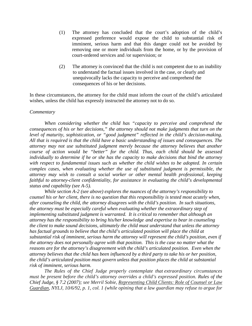- (1) The attorney has concluded that the court's adoption of the child's expressed preference would expose the child to substantial risk of imminent, serious harm and that this danger could not be avoided by removing one or more individuals from the home, or by the provision of court-ordered services and /or supervision; or
- (2) The attorney is convinced that the child is not competent due to an inability to understand the factual issues involved in the case, or clearly and unequivocally lacks the capacity to perceive and comprehend the consequences of his or her decisions.

In these circumstances, the attorney for the child must inform the court of the child's articulated wishes, unless the child has expressly instructed the attorney not to do so.

#### *Commentary*

*When considering whether the child has "capacity to perceive and comprehend the consequences of his or her decisions," the attorney should not make judgments that turn on the level of maturity, sophistication, or "good judgment" reflected in the child's decision-making. All that is required is that the child have a basic understanding of issues and consequences. The attorney may not use substituted judgment merely because the attorney believes that another course of action would be "better" for the child. Thus, each child should be assessed individually to determine if he or she has the capacity to make decisions that bind the attorney with respect to fundamental issues such as whether the child wishes to be adopted. In certain complex cases, when evaluating whether the use of substituted judgment is permissible, the attorney may wish to consult a social worker or other mental health professional, keeping faithful to attorney-client confidentiality, for assistance in evaluating the child's developmental status and capability (see A-5).*

*While section A-2 (see above) explores the nuances of the attorney's responsibility to counsel his or her client, there is no question that this responsibility is tested most acutely when, after counseling the child, the attorney disagrees with the child's position. In such situations, the attorney must be especially careful when evaluating whether the extraordinary step of implementing substituted judgment is warranted. It is critical to remember that although an attorney has the responsibility to bring his/her knowledge and expertise to bear in counseling the client to make sound decisions, ultimately the child must understand that unless the attorney has factual grounds to believe that the child's articulated position will place the child at substantial risk of imminent, serious harm the attorney will represent the child's position, even if the attorney does not personally agree with that position. This is the case no matter what the reasons are for the attorney's disagreement with the child's articulated position. Even when the attorney believes that the child has been influenced by a third party to take his or her position, the child's articulated position must govern unless that position places the child at substantial risk of imminent, serious harm.*

*The Rules of the Chief Judge properly contemplate that extraordinary circumstances must be present before the child's attorney overrides a child's expressed position. Rules of the Chief Judge, § 7.2 (2007); see Merril Sobie, Representing Child Clients: Role of Counsel or Law Guardian, NYLJ, 10/6/92, p. 1, col. 1 (while opining that a law guardian may refuse to argue for*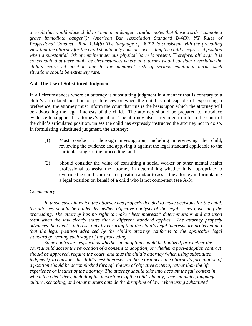*a result that would place child in "imminent danger", author notes that those words "connote a grave immediate danger"); American Bar Association Standard B-4(3), NY Rules of Professional Conduct*, *Rule 1.14(b). The language of § 7.2 is consistent with the prevailing view that the attorney for the child should only consider overriding the child's expressed position when a substantial risk of imminent serious physical harm is present. Therefore, although it is conceivable that there might be circumstances where an attorney would consider overriding the child's expressed position due to the imminent risk of serious emotional harm, such situations should be extremely rare.*

## **A-4. The Use of Substituted Judgment**

In all circumstances where an attorney is substituting judgment in a manner that is contrary to a child's articulated position or preferences or when the child is not capable of expressing a preference, the attorney must inform the court that this is the basis upon which the attorney will be advocating the legal interests of the child. The attorney should be prepared to introduce evidence to support the attorney's position. The attorney also is required to inform the court of the child's articulated position, unless the child has expressly instructed the attorney not to do so. In formulating substituted judgment, the attorney:

- (1) Must conduct a thorough investigation, including interviewing the child, reviewing the evidence and applying it against the legal standard applicable to the particular stage of the proceeding; and
- (2) Should consider the value of consulting a social worker or other mental health professional to assist the attorney in determining whether it is appropriate to override the child's articulated position and/or to assist the attorney in formulating a legal position on behalf of a child who is not competent (see A-3).

## *Commentary*

*In those cases in which the attorney has properly decided to make decisions for the child, the attorney should be guided by his/her objective analysis of the legal issues governing the proceeding. The attorney has no right to make "best interests" determinations and act upon them when the law clearly states that a different standard applies. The attorney properly advances the client's interests only by ensuring that the child's legal interests are protected and that the legal position advanced by the child's attorney conforms to the applicable legal standard governing each stage of the proceeding.* 

*Some controversies, such as whether an adoption should be finalized, or whether the court should accept the revocation of a consent to adoption, or whether a post-adoption contract should be approved, require the court, and thus the child's attorney (when using substituted judgment), to consider the child's best interests. In those instances, the attorney's formulation of a position should be accomplished through the use of objective criteria, rather than the life experience or instinct of the attorney. The attorney should take into account the full context in which the client lives, including the importance of the child's family, race, ethnicity, language, culture, schooling, and other matters outside the discipline of law. When using substituted*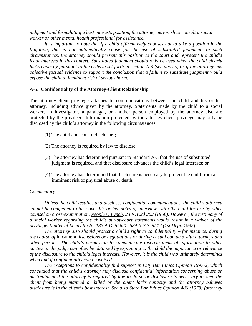*judgment and formulating a best interests position, the attorney may wish to consult a social worker or other mental health professional for assistance.*

*It is important to note that if a child affirmatively chooses not to take a position in the litigation, this is not automatically cause for the use of substituted judgment. In such circumstances, the attorney should present this position to the court and represent the child's legal interests in this context. Substituted judgment should only be used when the child clearly lacks capacity pursuant to the criteria set forth in section A-3 (see above), or if the attorney has objective factual evidence to support the conclusion that a failure to substitute judgment would expose the child to imminent risk of serious harm.*

## **A-5. Confidentiality of the Attorney-Client Relationship**

The attorney-client privilege attaches to communications between the child and his or her attorney, including advice given by the attorney. Statements made by the child to a social worker, an investigator, a paralegal, or another person employed by the attorney also are protected by the privilege. Information protected by the attorney-client privilege may only be disclosed by the child's attorney in the following circumstances:

- (1) The child consents to disclosure;
- (2) The attorney is required by law to disclose;
- (3) The attorney has determined pursuant to Standard A-3 that the use of substituted judgment is required, and that disclosure advances the child's legal interests; or
- (4) The attorney has determined that disclosure is necessary to protect the child from an imminent risk of physical abuse or death.

## *Commentary*

*Unless the child testifies and discloses confidential communications, the child's attorney cannot be compelled to turn over his or her notes of interviews with the child for use by other counsel on cross-examination. People v. Lynch, 23 N.Y.2d 262 (1968). However, the testimony of a social worker regarding the child's out-of-court statements would result in a waiver of the privilege. Matter of Lenny McN., 183 A.D.2d 627, 584 N.Y.S.2d 17 (1st Dept, 1992*).

*The attorney also should protect a child's right to confidentiality – for instance, during the course of* in camera *discussions or negotiations or during casual contacts with attorneys and other persons. The child's permission to communicate discrete items of information to other parties or the judge can often be obtained by explaining to the child the importance or relevance of the disclosure to the child's legal interests. However, it is the child who ultimately determines when and if confidentiality can be waived.*

*The exceptions to confidentiality find support in City Bar Ethics Opinion 1997-2, which concluded that the child's attorney may disclose confidential information concerning abuse or mistreatment if the attorney is required by law to do so or disclosure is necessary to keep the client from being maimed or killed or the client lacks capacity and the attorney believes disclosure is in the client's best interest. See also State Bar Ethics Opinion 486 (1978) (attorney*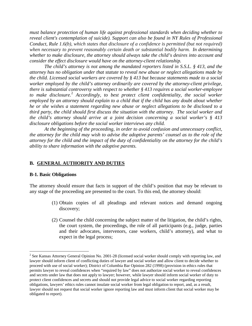*must balance protection of human life against professional standards when deciding whether to reveal client's contemplation of suicide). Support can also be found in NY Rules of Professional Conduct, Rule 1.6(b), which states that disclosure of a confidence is permitted (but not required) when necessary to prevent reasonably certain death or substantial bodily harm. In determining whether to make disclosure, the attorney should always take the child's desires into account and consider the effect disclosure would have on the attorney-client relationship.*

*The child's attorney is not among the mandated reporters listed in S.S.L. § 413, and the attorney has no obligation under that statute to reveal new abuse or neglect allegations made by the child. Licensed social workers are covered by § 413 but because statements made to a social worker employed by the child's attorney ordinarily are covered by the attorney-client privilege, there is substantial controversy with respect to whether § 413 requires a social worker-employee to make disclosure.*[2](#page-11-0) *Accordingly, to best protect client confidentiality, the social worker employed by an attorney should explain to a child that if the child has any doubt about whether he or she wishes a statement regarding new abuse or neglect allegations to be disclosed to a third party, the child should first discuss the situation with the attorney. The social worker and the child's attorney should arrive at a joint decision concerning a social worker's § 413 disclosure obligations before the social worker interviews any child.* 

*At the beginning of the proceeding, in order to avoid confusion and unnecessary conflict, the attorney for the child may wish to advise the adoptive parents' counsel as to the role of the attorney for the child and the impact of the duty of confidentiality on the attorney for the child's ability to share information with the adoptive parents.*

#### **B. GENERAL AUTHORITY AND DUTIES**

#### **B-1. Basic Obligations**

 $\overline{a}$ 

The attorney should ensure that facts in support of the child's position that may be relevant to any stage of the proceeding are presented to the court. To this end, the attorney should:

- (1) Obtain copies of all pleadings and relevant notices and demand ongoing discovery;
- (2) Counsel the child concerning the subject matter of the litigation, the child's rights, the court system, the proceedings, the role of all participants (e.g., judge, parties and their advocates, intervenors, case workers, child's attorney), and what to expect in the legal process;

<span id="page-11-0"></span> $2^{2}$  See Kansas Attorney General Opinion No. 2001-28 (licensed social worker should comply with reporting law, and lawyer should inform client of conflicting duties of lawyer and social worker and allow client to decide whether to proceed with use of social worker); District of Columbia Bar Opinion 282 (1998) (provision in ethics rules that permits lawyer to reveal confidences when "required by law" does not authorize social worker to reveal confidences and secrets under law that does not apply to lawyer; however, while lawyer should inform social worker of duty to protect client confidences and secrets and should not provide legal advice to social worker regarding reporting obligations, lawyers' ethics rules cannot insulate social worker from legal obligation to report, and, as a result, lawyer should not request that social worker ignore reporting law and must inform client that social worker may be obligated to report).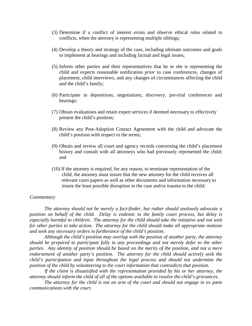- (3) Determine if a conflict of interest exists and observe ethical rules related to conflicts, when the attorney is representing multiple siblings;
- (4) Develop a theory and strategy of the case, including ultimate outcomes and goals to implement at hearings and including factual and legal issues;
- (5) Inform other parties and their representatives that he or she is representing the child and expects reasonable notification *prior* to case conferences, changes of placement, child interviews, and any changes of circumstances affecting the child and the child's family;
- (6) Participate in depositions, negotiations, discovery, pre-trial conferences and hearings;
- (7) Obtain evaluations and retain expert services if deemed necessary to effectively present the child's position;
- (8) Review any Post-Adoption Contact Agreement with the child and advocate the child's position with respect to the terms;
- (9) Obtain and review all court and agency records concerning the child's placement history and consult with all attorneys who had previously represented the child; and
- (10) If the attorney is required, for any reason, to terminate representation of the child, the attorney must insure that the new attorney for the child receives all relevant court papers as well as other documents and information necessary to insure the least possible disruption in the case and/or trauma to the child.

#### *Commentary*

*The attorney should not be merely a fact-finder, but rather should zealously advocate a position on behalf of the child. Delay is endemic to the family court process, but delay is especially harmful to children. The attorney for the child should take the initiative and not wait for other parties to take action. The attorney for the child should make all appropriate motions and seek any necessary orders in furtherance of the child's position.* 

*Although the child's position may overlap with the position of another party, the attorney should be prepared to participate fully in any proceedings and not merely defer to the other parties. Any identity of position should be based on the merits of the position, and not a mere endorsement of another party's position. The attorney for the child should actively seek the child's participation and input throughout the legal process and should not undermine the position of the child by volunteering to the court information that contradicts that position.*

*If the client is dissatisfied with the representation provided by his or her attorney, the attorney should inform the child of all of the options available to resolve the child's grievances.*

The attorney for the child is not an arm of the court and should not engage in ex parte *communications with the court.*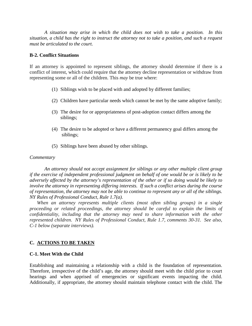*A situation may arise in which the child does not wish to take a position. In this situation, a child has the right to instruct the attorney not to take a position, and such a request must be articulated to the court.* 

## **B-2. Conflict Situations**

If an attorney is appointed to represent siblings, the attorney should determine if there is a conflict of interest, which could require that the attorney decline representation or withdraw from representing some or all of the children. This *may* be true where:

- (1) Siblings wish to be placed with and adopted by different families;
- (2) Children have particular needs which cannot be met by the same adoptive family;
- (3) The desire for or appropriateness of post-adoption contact differs among the siblings;
- (4) The desire to be adopted or have a different permanency goal differs among the siblings;
- (5) Siblings have been abused by other siblings.

#### *Commentary*

*An attorney should not accept assignment for siblings or any other multiple client group if the exercise of independent professional judgment on behalf of one would be or is likely to be adversely affected by the attorney's representation of the other or if so doing would be likely to involve the attorney in representing differing interests. If such a conflict arises during the course of representation, the attorney may not be able to continue to represent any or all of the siblings. NY Rules of Professional Conduct, Rule 1.7(a).*

*When an attorney represents multiple clients (most often sibling groups) in a single proceeding or related proceedings, the attorney should be careful to explain the limits of confidentiality, including that the attorney may need to share information with the other represented children. NY Rules of Professional Conduct, Rule 1.7, comments 30-31. See also, C-1 below (separate interviews).*

## **C. ACTIONS TO BE TAKEN**

## **C-1. Meet With the Child**

Establishing and maintaining a relationship with a child is the foundation of representation. Therefore, irrespective of the child's age, the attorney should meet with the child prior to court hearings and when apprised of emergencies or significant events impacting the child. Additionally, if appropriate, the attorney should maintain telephone contact with the child. The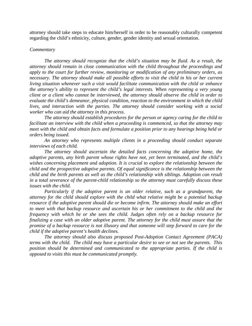attorney should take steps to educate him/herself in order to be reasonably culturally competent regarding the child's ethnicity, culture, gender, gender identity and sexual orientation.

#### *Commentary*

*The attorney should recognize that the child's situation may be fluid. As a result, the attorney should remain in close communication with the child throughout the proceedings and apply to the court for further review, monitoring or modification of any preliminary orders, as necessary. The attorney should make all possible efforts to visit the child in his or her current living situation whenever such a visit would facilitate communication with the child or enhance the attorney's ability to represent the child's legal interests. When representing a very young client or a client who cannot be interviewed, the attorney should observe the child in order to evaluate the child's demeanor, physical condition, reaction to the environment in which the child lives, and interaction with the parties. The attorney should consider working with a social worker who can aid the attorney in this process.* 

*The attorney should establish procedures for the person or agency caring for the child to facilitate an interview with the child when a proceeding is commenced, so that the attorney may meet with the child and obtain facts and formulate a position prior to any hearings being held or orders being issued.* 

*An attorney who represents multiple clients in a proceeding should conduct separate interviews of each child.*

*The attorney should ascertain the detailed facts concerning the adoptive home, the adoptive parents, any birth parent whose rights have not, yet been terminated, and the child's wishes concerning placement and adoption. It is crucial to explore the relationship between the child and the prospective adoptive parents. Of equal significance is the relationship between the child and the birth parents as well as the child's relationship with siblings. Adoption can result in a total severance of the parent-child relationship so the attorney must carefully discuss these issues with the child.* 

*Particularly if the adoptive parent is an older relative, such as a grandparent, the attorney for the child should explore with the child what relative might be a potential backup resource if the adoptive parent should die or become infirm. The attorney should make an effort to meet with that backup resource and ascertain his or her commitment to the child and the frequency with which he or she sees the child. Judges often rely on a backup resource for finalizing a case with an older adoptive parent. The attorney for the child must assure that the promise of a backup resource is not illusory and that someone will step forward to care for the child if the adoptive parent's health declines.* 

*The attorney should also discuss proposed Post-Adoption Contact Agreement (PACA) terms with the child. The child may have a particular desire to see or not see the parents. This position should be determined and communicated to the appropriate parties. If the child is opposed to visits this must be communicated promptly.*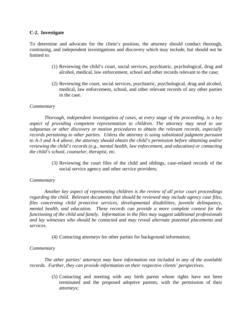## **C-2. Investigate**

To determine and advocate for the client's position, the attorney should conduct thorough, continuing, and independent investigations and discovery which may include, but should not be limited to:

- (1) Reviewing the child's court, social services, psychiatric, psychological, drug and alcohol, medical, law enforcement, school and other records relevant to the case;
- (2) Reviewing the court, social services, psychiatric, psychological, drug and alcohol, medical, law enforcement, school, and other relevant records of any other parties in the case.

## *Commentary*

*Thorough, independent investigation of cases, at every stage of the proceeding, is a key aspect of providing competent representation to children. The attorney may need to use subpoenas or other discovery or motion procedures to obtain the relevant records, especially records pertaining to other parties. Unless the attorney is using substituted judgment pursuant to A-3 and A-4 above, the attorney should obtain the child's permission before obtaining and/or reviewing the child's records (e.g., mental health, law enforcement, and education) or contacting the child's school, counselor, therapist, etc.*

> (3) Reviewing the court files of the child and siblings, case-related records of the social service agency and other service providers;

# *Commentary*

*Another key aspect of representing children is the review of all prior court proceedings regarding the child. Relevant documents that should be reviewed may include agency case files, files concerning child protective services, developmental disabilities, juvenile delinquency, mental health, and education. These records can provide a more complete context for the functioning of the child and family. Information in the files may suggest additional professionals and lay witnesses who should be contacted and may reveal alternate potential placements and services.*

(4) Contacting attorneys for other parties for background information;

## *Commentary*

*The other parties' attorneys may have information not included in any of the available records. Further, they can provide information on their respective clients' perspectives.*

> (5) Contacting and meeting with any birth parent whose rights have not been terminated and the proposed adoptive parents, with the permission of their attorneys;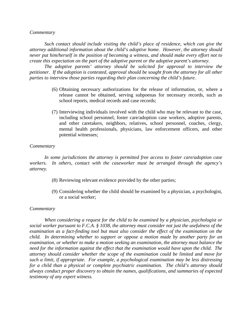#### *Commentary*

*Such contact should include visiting the child's place of residence, which can give the attorney additional information about the child's adoptive home. However, the attorney should never put him/herself in the position of becoming a witness, and should make every effort not to create this expectation on the part of the adoptive parent or the adoptive parent's attorney.* 

*The adoptive parents' attorney should be solicited for approval to interview the petitioner. If the adoption is contested, approval should be sought from the attorney for all other parties to interview those parties regarding their plan concerning the child's future.*

- (6) Obtaining necessary authorizations for the release of information, or, where a release cannot be obtained, serving subpoenas for necessary records, such as school reports, medical records and case records;
- (7) Interviewing individuals involved with the child who may be relevant to the case, including school personnel, foster care/adoption case workers, adoptive parents, and other caretakers, neighbors, relatives, school personnel, coaches, clergy, mental health professionals, physicians, law enforcement officers, and other potential witnesses;

#### *Commentary*

*In some jurisdictions the attorney is permitted free access to foster care/adoption case workers. In others, contact with the caseworker must be arranged through the agency's attorney.*

- (8) Reviewing relevant evidence provided by the other parties;
- (9) Considering whether the child should be examined by a physician, a psychologist, or a social worker;

#### *Commentary*

*When considering a request for the child to be examined by a physician, psychologist or social worker pursuant to F.C.A. § 1038, the attorney must consider not just the usefulness of the examination as a fact-finding tool but must also consider the effect of the examination on the child. In determining whether to support or oppose a motion made by another party for an examination, or whether to make a motion seeking an examination, the attorney must balance the need for the information against the effect that the examination would have upon the child. The attorney should consider whether the scope of the examination could be limited and move for such a limit, if appropriate. For example, a psychological examination may be less distressing for a child than a physical or complete psychiatric examination. The child's attorney should always conduct proper discovery to obtain the names, qualifications, and summaries of expected testimony of any expert witness.*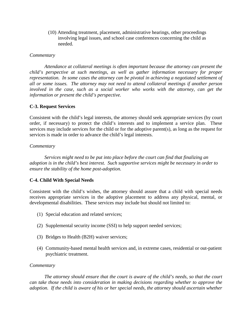(10) Attending treatment, placement, administrative hearings, other proceedings involving legal issues, and school case conferences concerning the child as needed.

## *Commentary*

*Attendance at collateral meetings is often important because the attorney can present the child's perspective at such meetings, as well as gather information necessary for proper representation. In some cases the attorney can be pivotal in achieving a negotiated settlement of all or some issues. The attorney may not need to attend collateral meetings if another person involved in the case, such as a social worker who works with the attorney, can get the information or present the child's perspective.*

## **C-3. Request Services**

Consistent with the child's legal interests, the attorney should seek appropriate services (by court order, if necessary) to protect the child's interests and to implement a service plan. These services may include services for the child or for the adoptive parent(s), as long as the request for services is made in order to advance the child's legal interests.

#### *Commentary*

*Services might need to be put into place before the court can find that finalizing an adoption is in the child's best interest. Such supportive services might be necessary in order to ensure the stability of the home post-adoption.*

## **C-4. Child With Special Needs**

Consistent with the child's wishes, the attorney should assure that a child with special needs receives appropriate services in the adoptive placement to address any physical, mental, or developmental disabilities. These services may include but should not limited to:

- (1) Special education and related services;
- (2) Supplemental security income (SSI) to help support needed services;
- (3) Bridges to Health (B2H) waiver services;
- (4) Community-based mental health services and, in extreme cases, residential or out-patient psychiatric treatment.

#### *Commentary*

*The attorney should ensure that the court is aware of the child's needs, so that the court can take those needs into consideration in making decisions regarding whether to approve the adoption. If the child is aware of his or her special needs, the attorney should ascertain whether*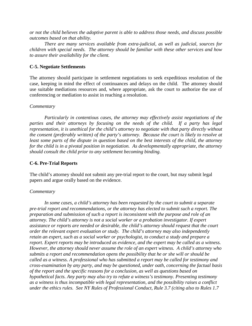*or not the child believes the adoptive parent is able to address those needs, and discuss possible outcomes based on that ability.*

*There are many services available from extra-judicial, as well as judicial, sources for children with special needs. The attorney should be familiar with these other services and how to assure their availability for the client.*

## **C-5. Negotiate Settlements**

The attorney should participate in settlement negotiations to seek expeditious resolution of the case, keeping in mind the effect of continuances and delays on the child. The attorney should use suitable mediations resources and, where appropriate, ask the court to authorize the use of conferencing or mediation to assist in reaching a resolution.

## *Commentary*

*Particularly in contentious cases, the attorney may effectively assist negotiations of the parties and their attorneys by focusing on the needs of the child. If a party has legal representation, it is unethical for the child's attorney to negotiate with that party directly without the consent (preferably written) of the party's attorney. Because the court is likely to resolve at least some parts of the dispute in question based on the best interests of the child, the attorney for the child is in a pivotal position in negotiation. As developmentally appropriate, the attorney should consult the child prior to any settlement becoming binding.* 

## **C-6. Pre-Trial Reports**

The child's attorney should not submit any pre-trial report to the court, but may submit legal papers and argue orally based on the evidence.

## *Commentary*

*In some cases, a child's attorney has been requested by the court to submit a separate pre-trial report and recommendations, or the attorney has elected to submit such a report. The preparation and submission of such a report is inconsistent with the purpose and role of an attorney. The child's attorney is not a social worker or a probation investigator. If expert assistance or reports are needed or desirable, the child's attorney should request that the court order the relevant expert evaluation or study. The child's attorney may also independently retain an expert, such as a social worker or psychologist, to conduct a study and prepare a report. Expert reports may be introduced as evidence, and the expert may be called as a witness. However, the attorney should never assume the role of an expert witness. A child's attorney who submits a report and recommendation opens the possibility that he or she will or should be called as a witness. A professional who has submitted a report may be called for testimony and cross-examination by any party, and may be questioned, under oath, concerning the factual basis of the report and the specific reasons for a conclusion, as well as questions based on hypothetical facts. Any party may also try to refute a witness's testimony. Presenting testimony as a witness is thus incompatible with legal representation, and the possibility raises a conflict under the ethics rules. See NY Rules of Professional Conduct, Rule 3.7 (citing also to Rules 1.7*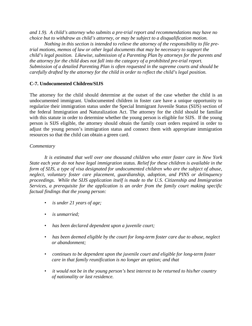*and 1.9). A child's attorney who submits a pre-trial report and recommendations may have no choice but to withdraw as child's attorney, or may be subject to a disqualification motion.*

*Nothing in this section is intended to relieve the attorney of the responsibility to file pretrial motions, memos of law or other legal documents that may be necessary to support the child's legal position. Likewise, submission of a Parenting Plan by attorneys for the parents and the attorney for the child does not fall into the category of a prohibited pre-trial report. Submission of a detailed Parenting Plan is often requested in the supreme courts and should be carefully drafted by the attorney for the child in order to reflect the child's legal position.*

# **C-7. Undocumented Children/SIJS**

The attorney for the child should determine at the outset of the case whether the child is an undocumented immigrant. Undocumented children in foster care have a unique opportunity to regularize their immigration status under the Special Immigrant Juvenile Status (SIJS) section of the federal Immigration and Naturalization Act. The attorney for the child should be familiar with this statute in order to determine whether the young person is eligible for SIJS. If the young person is SIJS eligible, the attorney should obtain the family court orders required in order to adjust the young person's immigration status and connect them with appropriate immigration resources so that the child can obtain a green card.

# *Commentary*

*It is estimated that well over one thousand children who enter foster care in New York State each year do not have legal immigration status. Relief for these children is available in the form of SIJS, a type of visa designated for undocumented children who are the subject of abuse, neglect, voluntary foster care placement, guardianship, adoption, and PINS or delinquency proceedings. While the SIJS application itself is made to the U.S. Citizenship and Immigration Services, a prerequisite for the application is an order from the family court making specific factual findings that the young person:*

- *is under 21 years of age;*
- *is unmarried;*
- *has been declared dependent upon a juvenile court;*
- *has been deemed eligible by the court for long-term foster care due to abuse, neglect or abandonment;*
- *continues to be dependent upon the juvenile court and eligible for long-term foster care in that family reunification is no longer an option; and that*
- *it would not be in the young person's best interest to be returned to his/her country of nationality or last residence.*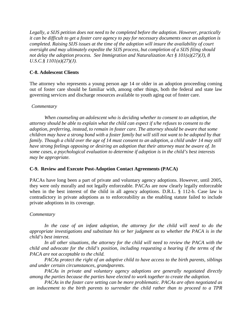*Legally, a SIJS petition does not need to be completed before the adoption. However, practically it can be difficult to get a foster care agency to pay for necessary documents once an adoption is completed. Raising SIJS issues at the time of the adoption will insure the availability of court oversight and may ultimately expedite the SIJS process, but completion of a SIJS filing should not delay the adoption process. See Immigration and Naturalization Act § 101(a)(27)(J), 8 U.S.C.§ 1101(a)(27)(J).*

## **C-8. Adolescent Clients**

The attorney who represents a young person age 14 or older in an adoption proceeding coming out of foster care should be familiar with, among other things, both the federal and state law governing services and discharge resources available to youth aging out of foster care.

## *Commentary*

*When counseling an adolescent who is deciding whether to consent to an adoption, the attorney should be able to explain what the child can expect if s/he refuses to consent to the adoption, preferring, instead, to remain in foster care. The attorney should be aware that some children may have a strong bond with a foster family but will still not want to be adopted by that family. Though a child over the age of 14 must consent to an adoption, a child under 14 may still have strong feelings opposing or desiring an adoption that their attorney must be aware of. In some cases, a psychological evaluation to determine if adoption is in the child's best interests may be appropriate.* 

# **C-9. Review and Execute Post-Adoption Contact Agreements (PACA)**

PACAs have long been a part of private and voluntary agency adoptions. However, until 2005, they were only morally and not legally enforceable. PACAs are now clearly legally enforceable when in the best interest of the child in all agency adoptions. D.R.L. § 112-b. Case law is contradictory in private adoptions as to enforceability as the enabling statute failed to include private adoptions in its coverage.

## *Commentary*

*In the case of an infant adoption, the attorney for the child will need to do the appropriate investigations and substitute his or her judgment as to whether the PACA is in the child's best interest.* 

*In all other situations, the attorney for the child will need to review the PACA with the child and advocate for the child's position, including requesting a hearing if the terms of the PACA are not acceptable to the child.*

*PACAs protect the right of an adoptive child to have access to the birth parents, siblings and under certain circumstances, grandparents.* 

*PACAs in private and voluntary agency adoptions are generally negotiated directly among the parties because the parties have elected to work together to create the adoption.* 

*PACAs in the foster care setting can be more problematic. PACAs are often negotiated as an inducement to the birth parents to surrender the child rather than to proceed to a TPR*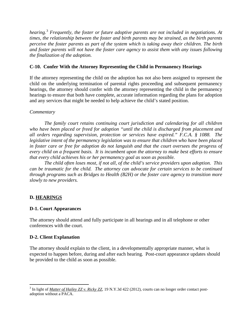*hearing.*[3](#page-21-0) *Frequently, the foster or future adoptive parents are not included in negotiations. At times, the relationship between the foster and birth parents may be strained, as the birth parents perceive the foster parents as part of the system which is taking away their children. The birth and foster parents will not have the foster care agency to assist them with any issues following the finalization of the adoption.* 

# **C-10. Confer With the Attorney Representing the Child in Permanency Hearings**

If the attorney representing the child on the adoption has not also been assigned to represent the child on the underlying termination of parental rights proceeding and subsequent permanency hearings, the attorney should confer with the attorney representing the child in the permanency hearings to ensure that both have complete, accurate information regarding the plans for adoption and any services that might be needed to help achieve the child's stated position.

# *Commentary*

*The family court retains continuing court jurisdiction and calendaring for all children who have been placed or freed for adoption "until the child is discharged from placement and all orders regarding supervision, protection or services have expired." F.C.A. § 1088. The legislative intent of the permanency legislation was to ensure that children who have been placed in foster care or free for adoption do not languish and that the court oversees the progress of every child on a frequent basis. It is incumbent upon the attorney to make best efforts to ensure that every child achieves his or her permanency goal as soon as possible.*

*The child often loses most, if not all, of the child's service providers upon adoption. This can be traumatic for the child. The attorney can advocate for certain services to be continued through programs such as Bridges to Health (B2H) or the foster care agency to transition more slowly to new providers.*

# **D. HEARINGS**

# **D-1. Court Appearances**

The attorney should attend and fully participate in all hearings and in all telephone or other conferences with the court.

# **D-2. Client Explanation**

The attorney should explain to the client, in a developmentally appropriate manner, what is expected to happen before, during and after each hearing. Post-court appearance updates should be provided to the child as soon as possible.

<span id="page-21-0"></span><sup>3</sup> In light of *Matter of Hailey ZZ v. Ricky ZZ*, 19 N.Y.3d 422 (2012), courts can no longer order contact postadoption without a PACA.  $\overline{a}$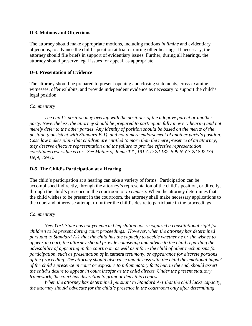## **D-3. Motions and Objections**

The attorney should make appropriate motions, including motions *in limine* and evidentiary objections, to advance the child's position at trial or during other hearings. If necessary, the attorney should file briefs in support of evidentiary issues. Further, during all hearings, the attorney should preserve legal issues for appeal, as appropriate.

## **D-4. Presentation of Evidence**

The attorney should be prepared to present opening and closing statements, cross-examine witnesses, offer exhibits, and provide independent evidence as necessary to support the child's legal position.

## *Commentary*

*The child's position may overlap with the positions of the adoptive parent or another party. Nevertheless, the attorney should be prepared to participate fully in every hearing and not merely defer to the other parties. Any identity of position should be based on the merits of the position (consistent with Standard B-1), and not a mere endorsement of another party's position. Case law makes plain that children are entitled to more than the mere presence of an attorney; they deserve effective representation and the failure to provide effective representation constitutes reversible error. See Matter of Jamie TT., 191 A.D.2d 132. 599 N.Y.S.2d 892 (3d Dept, 1993).*

# **D-5. The Child's Participation at a Hearing**

The child's participation at a hearing can take a variety of forms. Participation can be accomplished indirectly, through the attorney's representation of the child's position, or directly, through the child's presence in the courtroom or *in camera*. When the attorney determines that the child wishes to be present in the courtroom, the attorney shall make necessary applications to the court and otherwise attempt to further the child's desire to participate in the proceedings.

# *Commentary*

*New York State has not yet enacted legislation nor recognized a constitutional right for children to be present during court proceedings. However, when the attorney has determined pursuant to Standard A-1 that the child has the capacity to decide whether he or she wishes to appear in court, the attorney should provide counseling and advice to the child regarding the advisability of appearing in the courtroom as well as inform the child of other mechanisms for participation, such as presentation of* in camera *testimony, or appearance for discrete portions of the proceeding. The attorney should also raise and discuss with the child the emotional impact of the child's presence in court or exposure to inflammatory facts but, in the end, should assert the child's desire to appear in court insofar as the child directs. Under the present statutory framework, the court has discretion to grant or deny this request.*

*When the attorney has determined pursuant to Standard A-1 that the child lacks capacity, the attorney should advocate for the child's presence in the courtroom only after determining*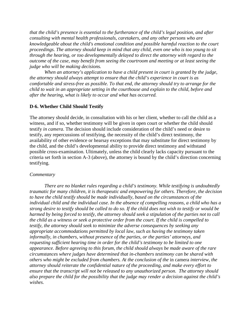*that the child's presence is essential to the furtherance of the child's legal position, and after consulting with mental health professionals, caretakers, and any other persons who are knowledgeable about the child's emotional condition and possible harmful reaction to the court proceedings. The attorney should keep in mind that any child, even one who is too young to sit through the hearing, or too developmentally delayed to direct the attorney with regard to the outcome of the case, may benefit from seeing the courtroom and meeting or at least seeing the judge who will be making decisions.* 

*When an attorney's application to have a child present in court is granted by the judge, the attorney should always attempt to ensure that the child's experience in court is as comfortable and stress-free as possible. To that end, the attorney should try to arrange for the child to wait in an appropriate setting in the courthouse and explain to the child, before and after the hearing, what is likely to occur and what has occurred.* 

## **D-6. Whether Child Should Testify**

The attorney should decide, in consultation with his or her client, whether to call the child as a witness, and if so, whether testimony will be given in open court or whether the child should testify *in camera*. The decision should include consideration of the child's need or desire to testify, any repercussions of testifying, the necessity of the child's direct testimony, the availability of other evidence or hearsay exceptions that may substitute for direct testimony by the child, and the child's developmental ability to provide direct testimony and withstand possible cross-examination. Ultimately, unless the child clearly lacks capacity pursuant to the criteria set forth in section A-3 (above), the attorney is bound by the child's direction concerning testifying.

## *Commentary*

*There are no blanket rules regarding a child's testimony. While testifying is undoubtedly traumatic for many children, it is therapeutic and empowering for others. Therefore, the decision to have the child testify should be made individually, based on the circumstances of the individual child and the individual case. In the absence of compelling reasons, a child who has a strong desire to testify should be called to do so. If the child does not wish to testify or would be harmed by being forced to testify, the attorney should seek a stipulation of the parties not to call the child as a witness or seek a protective order from the court. If the child is compelled to testify, the attorney should seek to minimize the adverse consequences by seeking any appropriate accommodations permitted by local law, such as having the testimony taken informally, in chambers, without presence of the parties, or the parties' attorneys, and requesting sufficient hearing time in order for the child's testimony to be limited to one appearance. Before agreeing to this forum, the child should always be made aware of the rare circumstances where judges have determined that in-chambers testimony can be shared with others who might be excluded from chambers. At the conclusion of the* in camera *interview, the attorney should reiterate the confidential nature of the proceeding, and make every effort to ensure that the transcript will not be released to any unauthorized person. The attorney should also prepare the child for the possibility that the judge may render a decision against the child's wishes.*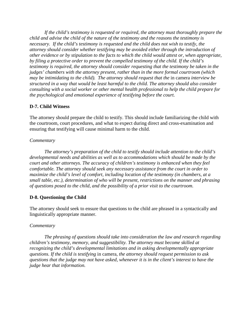*If the child's testimony is requested or required, the attorney must thoroughly prepare the child and advise the child of the nature of the testimony and the reasons the testimony is necessary. If the child's testimony is requested and the child does not wish to testify, the attorney should consider whether testifying may be avoided either through the introduction of other evidence or by stipulation to the facts to which the child would attest or, when appropriate, by filing a protective order to prevent the compelled testimony of the child. If the child's testimony is required, the attorney should consider requesting that the testimony be taken in the judges' chambers with the attorney present, rather than in the more formal courtroom (which may be intimidating to the child). The attorney should request that the in camera interview be structured in a way that would be least harmful to the child. The attorney should also consider consulting with a social worker or other mental health professional to help the child prepare for the psychological and emotional experience of testifying before the court.*

# **D-7. Child Witness**

The attorney should prepare the child to testify. This should include familiarizing the child with the courtroom, court procedures, and what to expect during direct and cross-examination and ensuring that testifying will cause minimal harm to the child.

## *Commentary*

*The attorney's preparation of the child to testify should include attention to the child's developmental needs and abilities as well as to accommodations which should be made by the court and other attorneys. The accuracy of children's testimony is enhanced when they feel comfortable. The attorney should seek any necessary assistance from the court in order to maximize the child's level of comfort, including location of the testimony (in chambers, at a small table, etc.), determination of who will be present, restrictions on the manner and phrasing of questions posed to the child, and the possibility of a prior visit to the courtroom.* 

# **D-8. Questioning the Child**

The attorney should seek to ensure that questions to the child are phrased in a syntactically and linguistically appropriate manner.

## *Commentary*

*The phrasing of questions should take into consideration the law and research regarding children's testimony, memory, and suggestibility. The attorney must become skilled at recognizing the child's developmental limitations and in asking developmentally appropriate questions. If the child is testifying* in camera*, the attorney should request permission to ask questions that the judge may not have asked, whenever it is in the client's interest to have the judge hear that information.*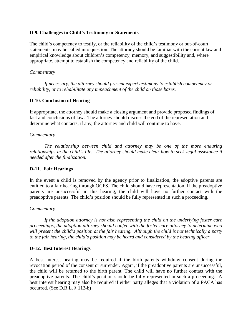## **D-9. Challenges to Child's Testimony or Statements**

The child's competency to testify, or the reliability of the child's testimony or out-of-court statements, may be called into question. The attorney should be familiar with the current law and empirical knowledge about children's competency, memory, and suggestibility and, where appropriate, attempt to establish the competency and reliability of the child.

#### *Commentary*

*If necessary, the attorney should present expert testimony to establish competency or reliability, or to rehabilitate any impeachment of the child on those bases.* 

## **D-10. Conclusion of Hearing**

If appropriate, the attorney should make a closing argument and provide proposed findings of fact and conclusions of law. The attorney should discuss the end of the representation and determine what contacts, if any, the attorney and child will continue to have.

#### *Commentary*

*The relationship between child and attorney may be one of the more enduring relationships in the child's life. The attorney should make clear how to seek legal assistance if needed after the finalization.*

## **D-11**. **Fair Hearings**

In the event a child is removed by the agency prior to finalization, the adoptive parents are entitled to a fair hearing through OCFS. The child should have representation. If the preadoptive parents are unsuccessful in this hearing, the child will have no further contact with the preadoptive parents. The child's position should be fully represented in such a proceeding.

#### *Commentary*

*If the adoption attorney is not also representing the child on the underlying foster care proceedings, the adoption attorney should confer with the foster care attorney to determine who will present the child's position at the fair hearing. Although the child is not technically a party to the fair hearing, the child's position may be heard and considered by the hearing officer.* 

## **D-12. Best Interest Hearings**

A best interest hearing may be required if the birth parents withdraw consent during the revocation period of the consent or surrender. Again, if the preadoptive parents are unsuccessful, the child will be returned to the birth parent. The child will have no further contact with the preadoptive parents. The child's position should be fully represented in such a proceeding. A best interest hearing may also be required if either party alleges that a violation of a PACA has occurred. (See D.R.L. § 112-b)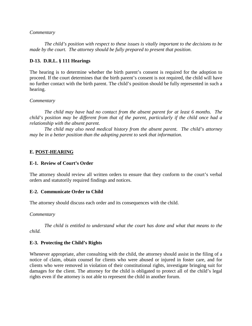## *Commentary*

*The child's position with respect to these issues is vitally important to the decisions to be made by the court. The attorney should be fully prepared to present that position.*

## **D-13. D.R.L. § 111 Hearings**

The hearing is to determine whether the birth parent's consent is required for the adoption to proceed. If the court determines that the birth parent's consent is not required, the child will have no further contact with the birth parent. The child's position should be fully represented in such a hearing.

## *Commentary*

*The child may have had no contact from the absent parent for at least 6 months. The child's position may be different from that of the parent, particularly if the child once had a relationship with the absent parent.* 

*The child may also need medical history from the absent parent. The child's attorney may be in a better position than the adopting parent to seek that information.* 

## **E. POST-HEARING**

## **E-1. Review of Court's Order**

The attorney should review all written orders to ensure that they conform to the court's verbal orders and statutorily required findings and notices.

## **E-2. Communicate Order to Child**

The attorney should discuss each order and its consequences with the child.

## *Commentary*

*The child is entitled to understand what the court has done and what that means to the child.* 

## **E-3. Protecting the Child's Rights**

Whenever appropriate, after consulting with the child, the attorney should assist in the filing of a notice of claim, obtain counsel for clients who were abused or injured in foster care, and for clients who were removed in violation of their constitutional rights, investigate bringing suit for damages for the client. The attorney for the child is obligated to protect all of the child's legal rights even if the attorney is not able to represent the child in another forum.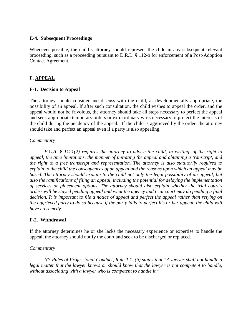## **E-4. Subsequent Proceedings**

Whenever possible, the child's attorney should represent the child in any subsequent relevant proceeding, such as a proceeding pursuant to D.R.L. § 112-b for enforcement of a Post-Adoption Contact Agreement.

# **F. APPEAL**

## **F-1. Decision to Appeal**

The attorney should consider and discuss with the child, as developmentally appropriate, the possibility of an appeal. If after such consultation, the child wishes to appeal the order, and the appeal would not be frivolous, the attorney should take all steps necessary to perfect the appeal and seek appropriate temporary orders or extraordinary writs necessary to protect the interests of the child during the pendency of the appeal. If the child is aggrieved by the order, the attorney should take and perfect an appeal even if a party is also appealing.

#### *Commentary*

*F.C.A. § 1121(2) requires the attorney to advise the child, in writing, of the right to appeal, the time limitations, the manner of initiating the appeal and obtaining a transcript, and the right to a free transcript and representation. The attorney is also statutorily required to explain to the child the consequences of an appeal and the reasons upon which an appeal may be based. The attorney should explain to the child not only the legal possibility of an appeal, but also the ramifications of filing an appeal, including the potential for delaying the implementation of services or placement options. The attorney should also explain whether the trial court's orders will be stayed pending appeal and what the agency and trial court may do pending a final decision. It is important to file a notice of appeal and perfect the appeal rather than relying on the aggrieved party to do so because if the party fails to perfect his or her appeal, the child will have no remedy.*

## **F-2. Withdrawal**

If the attorney determines he or she lacks the necessary experience or expertise to handle the appeal, the attorney should notify the court and seek to be discharged or replaced.

## *Commentary*

*NY Rules of Professional Conduct, Rule 1.1. (b) states that "A lawyer shall not handle a legal matter that the lawyer knows or should know that the lawyer is not competent to handle, without associating with a lawyer who is competent to handle it."*